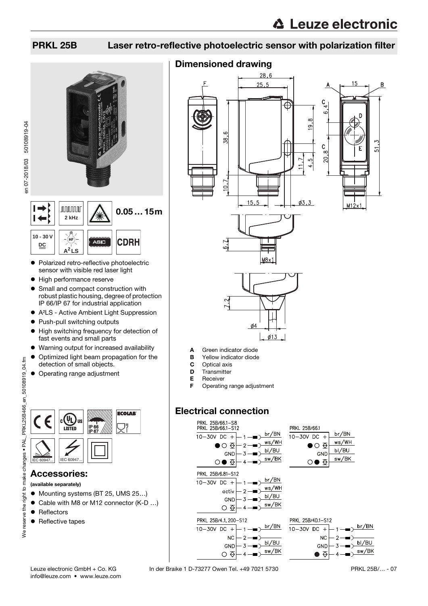en 07-2018/03 50108919-04

en 07-2018/03 50108919-04

### PRKL 25B Laser retro-reflective photoelectric sensor with polarization filter



- Polarized retro-reflective photoelectric sensor with visible red laser light
- $\bullet$  High performance reserve
- Small and compact construction with robust plastic housing, degree of protection IP 66/IP 67 for industrial application
- A²LS Active Ambient Light Suppression
- Push-pull switching outputs
- $\bullet$  High switching frequency for detection of fast events and small parts
- Warning output for increased availability
- $\bullet$  Optimized light beam propagation for the detection of small objects.
- Operating range adjustment



### Accessories:

#### (available separately)

- Mounting systems (BT 25, UMS 25...)
- Cable with M8 or M12 connector (K-D ...)
- Reflectors

 $\overline{9}$ 

We reserve the right

• Reflective tapes

### Dimensioned drawing





- **B** Yellow indicator diode
- C Optical axis
- **D** Transmitter
- E Receiver
- **F** Operating range adjustment

 $\frac{\cancel{0}4}{\cancel{0}4}$ 

 $\phi$ 13

### Electrical connection



Leuze electronic GmbH + Co. KG In der Braike 1 D-73277 Owen Tel. +49 7021 5730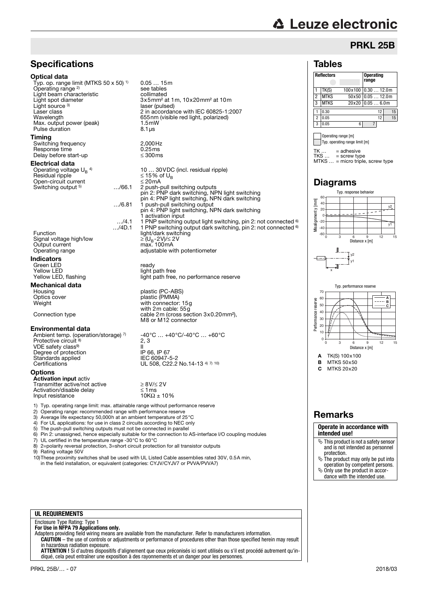# **∆ Leuze electronic**

### PRKL 25B

#### Tables

| <b>Reflectors</b> |             |         | <b>Operating</b><br>range |    |  |  |  |
|-------------------|-------------|---------|---------------------------|----|--|--|--|
|                   | TK(S)       | 100x100 | 0.3012.0m                 |    |  |  |  |
| 2                 | <b>MTKS</b> | 50x50   | 0.0512.0m                 |    |  |  |  |
| 3                 | <b>MTKS</b> | 20x20   | 0.056.0m                  |    |  |  |  |
|                   | 0.30        |         | 12                        | 15 |  |  |  |
| $\overline{c}$    | 0.05        |         | 12                        | 15 |  |  |  |
| 3                 | 0.05        | 6       |                           |    |  |  |  |

Operating range [m] Typ. operating range limit [m]

 $TK = \text{adhesive}$ 

TKS … = screw type MTKS … = micro triple, screw type

Typ. response behavior

### Diagrams



A TK(S) 100x100 Distance x [m]

 $B$  MTKS 50 $\times$ 50

 $C$  MTKS 20 $\times$ 20

#### Remarks

#### **Operate in accordance with intended use!**

- $\%$  This product is not a safety sensor and is not intended as personnel
- protection. The product may only be put into operation by competent persons.
- $\%$  Only use the product in accordance with the intended use.



#### **UL REQUIREMENTS**

### Enclosure Type Rating: Type 1 **For Use in NFPA 79 Applications only.**

Adapters providing field wiring means are available from the manufacturer. Refer to manufacturers information. **CAUTION** – the use of controls or adjustments or performance of procedures other than those specified herein may result

in hazardous radiation exposure. **ATTENTION !** Si d'autres dispositifs d'alignement que ceux préconisés ici sont utilisés ou s'il est procédé autrement qu'indiqué, cela peut entraîner une exposition à des rayonnements et un danger pour les personnes.

### with 2m cable: 55g Connection type cable 2m (cross section 3x0.20mm²), M8 or M12 connector -40°C … +40°C/-40°C … +60°C 2, 3  $\frac{11}{1}$  iP 66. IP 67

Certifications  $UL 508, C22.2$  No.14-13  $4^{\frac{7}{7}}$  10)

0.05 … 15m

laser (pulsed)

 $3x5$ mm<sup>2</sup> at 1m, 10x20mm<sup>2</sup> at 10m

Emiracordanec marries coses<br>655nm (visible red light, polarized)<br>1.5mW

10 ... 30 VDC (incl. residual ripple)<br> $\leq$  15% of U<sub>B</sub>

…/6.81 1 push-pull switching output pin 4: PNP light switching, NPN dark switching

light path free, no performance reserve

man recompt.

1 activation input

2 push-pull switching outputs pin 2: PNP dark switching, NPN light switching pin 4: PNP light switching, NPN dark switching

…/4.1 1 PNP switching output light switching, pin 2: not connected 6) …/4D.1 1 PNP switching output dark switching, pin 2: not connected 6)

see tables<br>collimated

Laser class 2 in accordance with IEC 60825-1:2007<br>Wavelenath 655nm (visible red light, polarized)

1) Typ. operating range limit: max. attainable range without performance reserve

- 2) Operating range: recommended range with performance reserve<br>3) Average life expectancy 50.000 hat an ambient temperature of 2
- 3) Average life expectancy 50,000h at an ambient temperature of 25°C
- 4) For UL applications: for use in class 2 circuits according to NEC only 5) The push-pull switching outputs must not be connected in parallel
- 
- 6) Pin 2: unassigned, hence especially suitable for the connection to AS-interface I/O coupling modules <br>7) UL certified in the temperature range -30°C to 60°C
- 7) UL certified in the temperature range -30 $^{\circ}$ C to 60 $^{\circ}$ C 8) 2=polarity reversal protection, 3=short circuit protection 8) 2=polarity reversal protection, 3=short circuit protection for all transistor outputs<br>9) Rating voltage 50V
- Rating voltage 50V

10)These proximity switches shall be used with UL Listed Cable assemblies rated 30V, 0.5A min, in the field installation, or equivalent (categories: CYJV/CYJV7 or PVVA/PVVA7)

Environmental data Ambient temp. (operation/storage) <sup>7)</sup><br>Protective circuit <sup>8)</sup> VDE safety class<sup>9)</sup>

**Mechanical data**<br>Housing

**Specifications** 

Light beam characteristic<br>Light spot diameter

Typ. op. range limit (MTKS 50 x 50) 1)

Max. output power (peak) 1.5ml<br>Pulse duration 8.1 us

Switching frequency  $2,000$  Hz<br>Response time  $0.25$  ms Response time  $0.25 \text{ ms}$ <br>Delay before start-up  $\leq 300 \text{ ms}$ 

Open-circuit current ≤ 20mA<br>Switching output <sup>5</sup> ..../66.1 2 push-p

Operating voltage UB 4) Residual ripple ≤ 15% of UB

Function light/dark switching

Signal voltage high/low  $\geq$  (U<sub>B</sub>-2V)/ $\leq$  2V)<br>Output current max. 100mA<br>Operating range adjustable with

Housing blastic (PC-ABS)<br>
Optics cover blastic (PMMA) Optics cover plastic (PMMA) Weight with connector: 15g

Green LED<br>
Yellow LED<br>
Yellow LED light r Yellow LED<br>
Yellow LED, flashing<br>
Yellow LED, flashing<br>
light path free

Optical data

Light source<sup>3</sup>

Pulse duration **Timing** 

Delay before start-up Electrical data

Switching output <sup>5)</sup>

Signal voltage high/low<br>Output current

Indicators

Operating range 2)

# Degree of protection IP 66, IP 67 Standards applied IEC 60947-5-2

#### **Options**

Activation input activ Transmitter active/not active<br>  $\geq 8 \frac{V}{2} \times 2V$ <br>
Activation/disable delay  $\leq 1 \text{ ms}$  $\text{Activity: } \begin{cases} \text{Action/disable delay} \\ \text{Input resistance} \end{cases} \leq 1 \text{ ms}$ Input resistance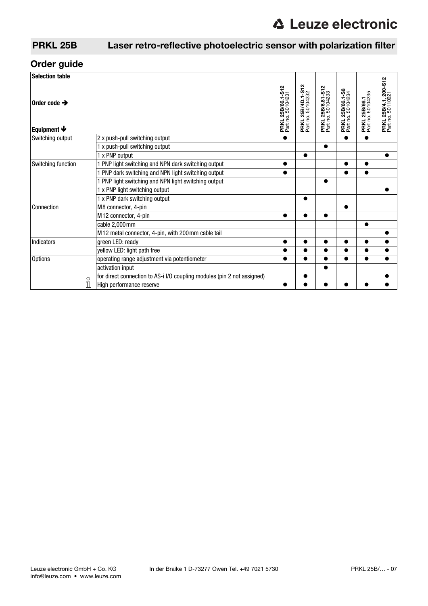## PRKL 25B Laser retro-reflective photoelectric sensor with polarization filter

## Order guide

| <b>Selection table</b>                                |                                                                                    |                                               |                                               |                                               |                                       |                                    |                                                   |
|-------------------------------------------------------|------------------------------------------------------------------------------------|-----------------------------------------------|-----------------------------------------------|-----------------------------------------------|---------------------------------------|------------------------------------|---------------------------------------------------|
| Order code $\rightarrow$<br>Equipment $\blacklozenge$ |                                                                                    | <b>PRKL 25B/66.1-S12</b><br>Part no. 50104231 | <b>PRKL 25B/4D.1-S12</b><br>Part no. 50104232 | <b>PRKL 25B/6.81-S12</b><br>Part no. 50104233 | PRKL 25B/66.1-S8<br>Part no. 50104234 | PRKL 25B/66.1<br>Part no. 50104235 | <b>PRKL 25B/4.1, 200-S12</b><br>Part no. 50110921 |
| Switching output                                      | 2 x push-pull switching output                                                     |                                               |                                               |                                               | $\bullet$                             | $\bullet$                          |                                                   |
|                                                       | 1 x push-pull switching output                                                     |                                               |                                               |                                               |                                       |                                    |                                                   |
|                                                       | 1 x PNP output                                                                     |                                               | ●                                             |                                               |                                       |                                    |                                                   |
| Switching function                                    | PNP light switching and NPN dark switching output                                  |                                               |                                               |                                               |                                       | $\bullet$                          |                                                   |
|                                                       | PNP dark switching and NPN light switching output                                  |                                               |                                               |                                               |                                       |                                    |                                                   |
|                                                       | PNP light switching and NPN light switching output                                 |                                               |                                               | ●                                             |                                       |                                    |                                                   |
|                                                       | 1 x PNP light switching output                                                     |                                               |                                               |                                               |                                       |                                    |                                                   |
|                                                       | 1 x PNP dark switching output                                                      |                                               |                                               |                                               |                                       |                                    |                                                   |
| Connection                                            | M8 connector, 4-pin                                                                |                                               |                                               |                                               | $\bullet$                             |                                    |                                                   |
|                                                       | M12 connector, 4-pin                                                               |                                               | ●                                             | $\bullet$                                     |                                       |                                    |                                                   |
|                                                       | cable 2,000mm                                                                      |                                               |                                               |                                               |                                       | $\bullet$                          |                                                   |
|                                                       | M12 metal connector, 4-pin, with 200mm cable tail                                  |                                               |                                               |                                               |                                       |                                    | $\bullet$                                         |
| <b>Indicators</b>                                     | green LED: ready                                                                   |                                               |                                               | ▲                                             |                                       |                                    |                                                   |
|                                                       | yellow LED: light path free                                                        |                                               |                                               | ●                                             |                                       |                                    | $\bullet$                                         |
| <b>Options</b>                                        | operating range adjustment via potentiometer                                       |                                               | ●                                             |                                               | $\bullet$                             | $\bullet$                          | $\bullet$                                         |
|                                                       | activation input                                                                   |                                               |                                               | $\bullet$                                     |                                       |                                    |                                                   |
|                                                       | for direct connection to AS-i I/O coupling modules (pin 2 not assigned)<br>$\circ$ |                                               |                                               |                                               |                                       |                                    |                                                   |
|                                                       | High performance reserve                                                           |                                               |                                               |                                               |                                       |                                    |                                                   |